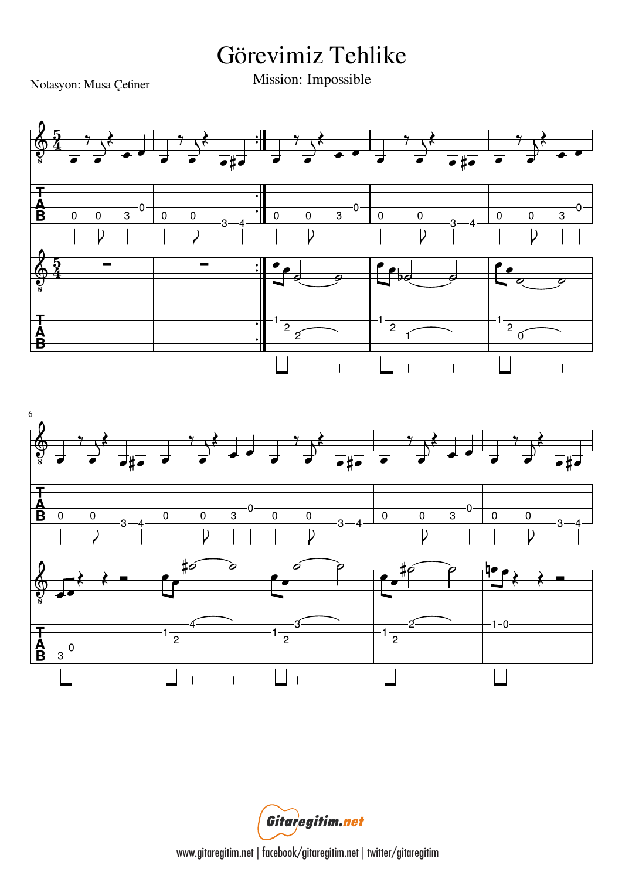## Görevimiz Tehlike

Notasyon: Musa Çetiner

Mission: Impossible



Gitaregitim.net